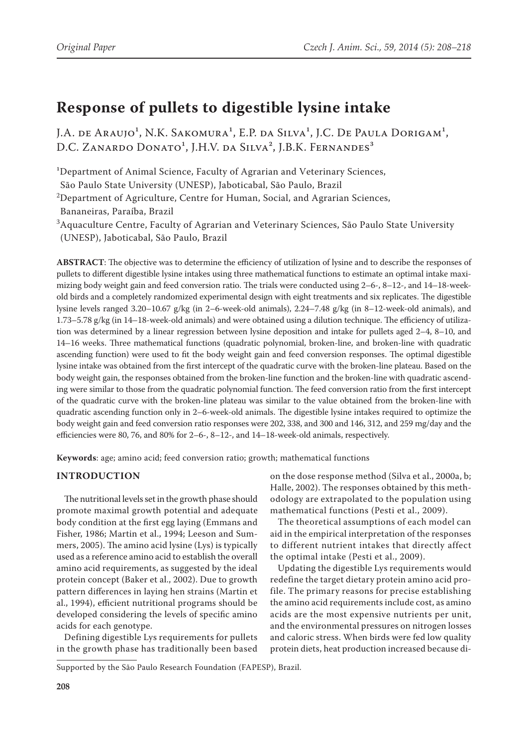# **Response of pullets to digestible lysine intake**

J.A. de Araujo<sup>1</sup>, N.K. Sakomura<sup>1</sup>, E.P. da Silva<sup>1</sup>, J.C. De Paula Dorigam<sup>1</sup>, D.C. ZANARDO DONATO<sup>1</sup>, J.H.V. da Silva<sup>2</sup>, J.B.K. Fernandes<sup>3</sup>

<sup>1</sup>Department of Animal Science, Faculty of Agrarian and Veterinary Sciences,

São Paulo State University (UNESP), Jaboticabal, São Paulo, Brazil

<sup>2</sup>Department of Agriculture, Centre for Human, Social, and Agrarian Sciences,

Bananeiras, Paraíba, Brazil

 ${}^{3}\text{A}$ quaculture Centre, Faculty of Agrarian and Veterinary Sciences, São Paulo State University (UNESP), Jaboticabal, São Paulo, Brazil

**ABSTRACT**: The objective was to determine the efficiency of utilization of lysine and to describe the responses of pullets to different digestible lysine intakes using three mathematical functions to estimate an optimal intake maximizing body weight gain and feed conversion ratio. The trials were conducted using 2–6-, 8–12-, and 14–18-weekold birds and a completely randomized experimental design with eight treatments and six replicates. The digestible lysine levels ranged 3.20–10.67 g/kg (in 2–6-week-old animals), 2.24–7.48 g/kg (in 8–12-week-old animals), and 1.73–5.78 g/kg (in 14–18-week-old animals) and were obtained using a dilution technique. The efficiency of utilization was determined by a linear regression between lysine deposition and intake for pullets aged 2–4, 8–10, and 14–16 weeks. Three mathematical functions (quadratic polynomial, broken-line, and broken-line with quadratic ascending function) were used to fit the body weight gain and feed conversion responses. The optimal digestible lysine intake was obtained from the first intercept of the quadratic curve with the broken-line plateau. Based on the body weight gain, the responses obtained from the broken-line function and the broken-line with quadratic ascending were similar to those from the quadratic polynomial function. The feed conversion ratio from the first intercept of the quadratic curve with the broken-line plateau was similar to the value obtained from the broken-line with quadratic ascending function only in 2–6-week-old animals. The digestible lysine intakes required to optimize the body weight gain and feed conversion ratio responses were 202, 338, and 300 and 146, 312, and 259 mg/day and the efficiencies were 80, 76, and 80% for 2–6-, 8–12-, and 14–18-week-old animals, respectively.

**Keywords**: age; amino acid; feed conversion ratio; growth; mathematical functions

## **Introduction**

The nutritional levels set in the growth phase should promote maximal growth potential and adequate body condition at the first egg laying (Emmans and Fisher, 1986; Martin et al., 1994; Leeson and Summers, 2005). The amino acid lysine (Lys) is typically used as a reference amino acid to establish the overall amino acid requirements, as suggested by the ideal protein concept (Baker et al., 2002). Due to growth pattern differences in laying hen strains (Martin et al., 1994), efficient nutritional programs should be developed considering the levels of specific amino acids for each genotype.

Defining digestible Lys requirements for pullets in the growth phase has traditionally been based on the dose response method (Silva et al., 2000a, b; Halle, 2002). The responses obtained by this methodology are extrapolated to the population using mathematical functions (Pesti et al., 2009).

The theoretical assumptions of each model can aid in the empirical interpretation of the responses to different nutrient intakes that directly affect the optimal intake (Pesti et al., 2009).

Updating the digestible Lys requirements would redefine the target dietary protein amino acid profile. The primary reasons for precise establishing the amino acid requirements include cost, as amino acids are the most expensive nutrients per unit, and the environmental pressures on nitrogen losses and caloric stress. When birds were fed low quality protein diets, heat production increased because di-

Supported by the São Paulo Research Foundation (FAPESP), Brazil.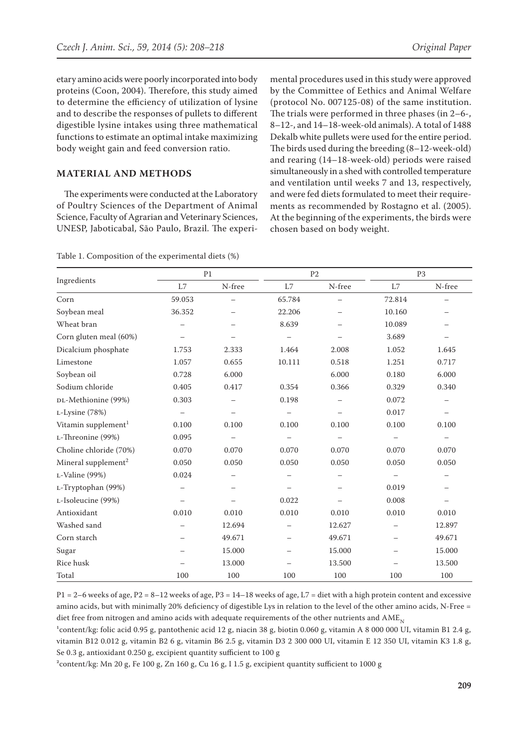etary amino acids were poorly incorporated into body proteins (Coon, 2004). Therefore, this study aimed to determine the efficiency of utilization of lysine and to describe the responses of pullets to different digestible lysine intakes using three mathematical functions to estimate an optimal intake maximizing body weight gain and feed conversion ratio.

### **MATERIAL AND METHODS**

The experiments were conducted at the Laboratory of Poultry Sciences of the Department of Animal Science, Faculty of Agrarian and Veterinary Sciences, UNESP, Jaboticabal, São Paulo, Brazil. The experi-

| Table 1. Composition of the experimental diets (%) |  |  |  |  |
|----------------------------------------------------|--|--|--|--|
|----------------------------------------------------|--|--|--|--|

mental procedures used in this study were approved by the Committee of Eethics and Animal Welfare (protocol No. 007125-08) of the same institution. The trials were performed in three phases (in 2–6-, 8–12-, and 14–18-week-old animals). A total of 1488 Dekalb white pullets were used for the entire period. The birds used during the breeding (8–12-week-old) and rearing (14–18-week-old) periods were raised simultaneously in a shed with controlled temperature and ventilation until weeks 7 and 13, respectively, and were fed diets formulated to meet their requirements as recommended by Rostagno et al. (2005). At the beginning of the experiments, the birds were chosen based on body weight.

|                                 |                          | P <sub>1</sub> |                          | P <sub>2</sub> | P <sub>3</sub>           |        |  |
|---------------------------------|--------------------------|----------------|--------------------------|----------------|--------------------------|--------|--|
| Ingredients                     | L7                       | N-free         | L7                       | N-free         | L7                       | N-free |  |
| Corn                            | 59.053                   |                | 65.784                   |                | 72.814                   |        |  |
| Soybean meal                    | 36.352                   |                | 22.206                   |                | 10.160                   |        |  |
| Wheat bran                      |                          |                | 8.639                    |                | 10.089                   |        |  |
| Corn gluten meal (60%)          |                          |                |                          |                | 3.689                    |        |  |
| Dicalcium phosphate             | 1.753                    | 2.333          | 1.464                    | 2.008          | 1.052                    | 1.645  |  |
| Limestone                       | 1.057                    | 0.655          | 10.111                   | 0.518          | 1.251                    | 0.717  |  |
| Soybean oil                     | 0.728                    | 6.000          |                          | 6.000          | 0.180                    | 6.000  |  |
| Sodium chloride                 | 0.405                    | 0.417          | 0.354                    | 0.366          | 0.329                    | 0.340  |  |
| DL-Methionine (99%)             | 0.303                    |                | 0.198                    |                | 0.072                    |        |  |
| L-Lysine (78%)                  |                          |                |                          |                | 0.017                    |        |  |
| Vitamin supplement <sup>1</sup> | 0.100                    | 0.100          | 0.100                    | 0.100          | 0.100                    | 0.100  |  |
| L-Threonine (99%)               | 0.095                    |                |                          |                |                          |        |  |
| Choline chloride (70%)          | 0.070                    | 0.070          | 0.070                    | 0.070          | 0.070                    | 0.070  |  |
| Mineral supplement <sup>2</sup> | 0.050                    | 0.050          | 0.050                    | 0.050          | 0.050                    | 0.050  |  |
| L-Valine (99%)                  | 0.024                    |                |                          |                |                          |        |  |
| L-Tryptophan (99%)              |                          |                |                          |                | 0.019                    |        |  |
| L-Isoleucine (99%)              |                          |                | 0.022                    |                | 0.008                    |        |  |
| Antioxidant                     | 0.010                    | 0.010          | 0.010                    | 0.010          | 0.010                    | 0.010  |  |
| Washed sand                     | $\overline{\phantom{0}}$ | 12.694         | $\overline{\phantom{0}}$ | 12.627         | $\overline{\phantom{0}}$ | 12.897 |  |
| Corn starch                     |                          | 49.671         | $\overline{\phantom{0}}$ | 49.671         | $\overline{\phantom{0}}$ | 49.671 |  |
| Sugar                           |                          | 15.000         |                          | 15.000         |                          | 15.000 |  |
| Rice husk                       |                          | 13.000         |                          | 13.500         |                          | 13.500 |  |
| Total                           | 100                      | 100            | 100                      | 100            | 100                      | 100    |  |

P1 = 2–6 weeks of age, P2 = 8–12 weeks of age, P3 = 14–18 weeks of age, L7 = diet with a high protein content and excessive amino acids, but with minimally 20% deficiency of digestible Lys in relation to the level of the other amino acids, N-Free = diet free from nitrogen and amino acids with adequate requirements of the other nutrients and  $AME_N$ 

 $^1$ content/kg: folic acid 0.95 g, pantothenic acid 12 g, niacin 38 g, biotin 0.060 g, vitamin A 8 000 000 UI, vitamin B1 2.4 g, vitamin B12 0.012 g, vitamin B2 6 g, vitamin B6 2.5 g, vitamin D3 2 300 000 UI, vitamin E 12 350 UI, vitamin K3 1.8 g, Se 0.3 g, antioxidant 0.250 g, excipient quantity sufficient to 100 g

 $^{2}$ content/kg: Mn 20 g, Fe 100 g, Zn 160 g, Cu 16 g, I 1.5 g, excipient quantity sufficient to 1000 g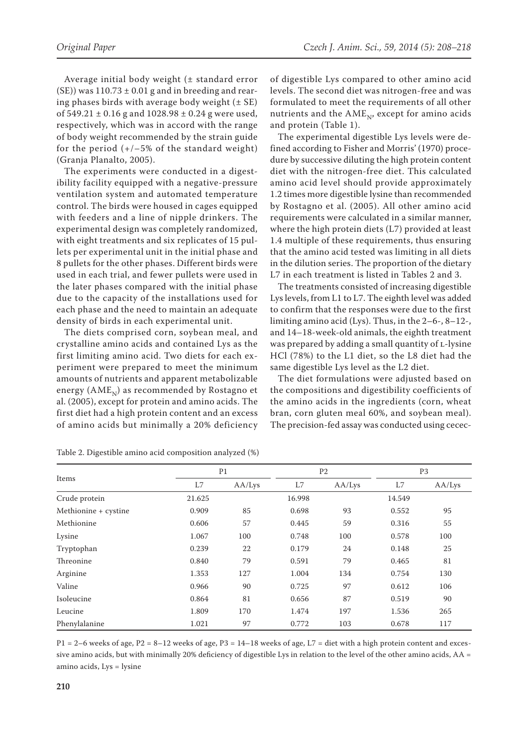Average initial body weight (± standard error  $(SE)$ ) was 110.73  $\pm$  0.01 g and in breeding and rearing phases birds with average body weight  $(\pm SE)$ of  $549.21 \pm 0.16$  g and  $1028.98 \pm 0.24$  g were used, respectively, which was in accord with the range of body weight recommended by the strain guide for the period  $(+/-5\%$  of the standard weight) (Granja Planalto, 2005).

The experiments were conducted in a digestibility facility equipped with a negative-pressure ventilation system and automated temperature control. The birds were housed in cages equipped with feeders and a line of nipple drinkers. The experimental design was completely randomized, with eight treatments and six replicates of 15 pullets per experimental unit in the initial phase and 8 pullets for the other phases. Different birds were used in each trial, and fewer pullets were used in the later phases compared with the initial phase due to the capacity of the installations used for each phase and the need to maintain an adequate density of birds in each experimental unit.

The diets comprised corn, soybean meal, and crystalline amino acids and contained Lys as the first limiting amino acid. Two diets for each experiment were prepared to meet the minimum amounts of nutrients and apparent metabolizable energy  $(AME_N)$  as recommended by Rostagno et al. (2005), except for protein and amino acids. The first diet had a high protein content and an excess of amino acids but minimally a 20% deficiency

of digestible Lys compared to other amino acid levels. The second diet was nitrogen-free and was formulated to meet the requirements of all other nutrients and the  $AME_{N}$ , except for amino acids and protein (Table 1).

The experimental digestible Lys levels were defined according to Fisher and Morris' (1970) procedure by successive diluting the high protein content diet with the nitrogen-free diet. This calculated amino acid level should provide approximately 1.2 times more digestible lysine than recommended by Rostagno et al. (2005). All other amino acid requirements were calculated in a similar manner, where the high protein diets (L7) provided at least 1.4 multiple of these requirements, thus ensuring that the amino acid tested was limiting in all diets in the dilution series. The proportion of the dietary L7 in each treatment is listed in Tables 2 and 3.

The treatments consisted of increasing digestible Lys levels, from L1 to L7. The eighth level was added to confirm that the responses were due to the first limiting amino acid (Lys). Thus, in the 2–6-, 8–12-, and 14–18-week-old animals, the eighth treatment was prepared by adding a small quantity of L-lysine HCl (78%) to the L1 diet, so the L8 diet had the same digestible Lys level as the L2 diet.

The diet formulations were adjusted based on the compositions and digestibility coefficients of the amino acids in the ingredients (corn, wheat bran, corn gluten meal 60%, and soybean meal). The precision-fed assay was conducted using cecec-

| Items                |        | P <sub>1</sub> |        | P <sub>2</sub> |        | P <sub>3</sub> |  |
|----------------------|--------|----------------|--------|----------------|--------|----------------|--|
|                      | L7     | AA/Lys         | L7     | AA/Lys         | L7     | AA/Lys         |  |
| Crude protein        | 21.625 |                | 16.998 |                | 14.549 |                |  |
| Methionine + cystine | 0.909  | 85             | 0.698  | 93             | 0.552  | 95             |  |
| Methionine           | 0.606  | 57             | 0.445  | 59             | 0.316  | 55             |  |
| Lysine               | 1.067  | 100            | 0.748  | 100            | 0.578  | 100            |  |
| Tryptophan           | 0.239  | 22             | 0.179  | 24             | 0.148  | 25             |  |
| Threonine            | 0.840  | 79             | 0.591  | 79             | 0.465  | 81             |  |
| Arginine             | 1.353  | 127            | 1.004  | 134            | 0.754  | 130            |  |
| Valine               | 0.966  | 90             | 0.725  | 97             | 0.612  | 106            |  |
| Isoleucine           | 0.864  | 81             | 0.656  | 87             | 0.519  | 90             |  |
| Leucine              | 1.809  | 170            | 1.474  | 197            | 1.536  | 265            |  |
| Phenylalanine        | 1.021  | 97             | 0.772  | 103            | 0.678  | 117            |  |

Table 2. Digestible amino acid composition analyzed (%)

 $P1 = 2-6$  weeks of age,  $P2 = 8-12$  weeks of age,  $P3 = 14-18$  weeks of age,  $L7 =$  diet with a high protein content and excessive amino acids, but with minimally 20% deficiency of digestible Lys in relation to the level of the other amino acids, AA = amino acids, Lys = lysine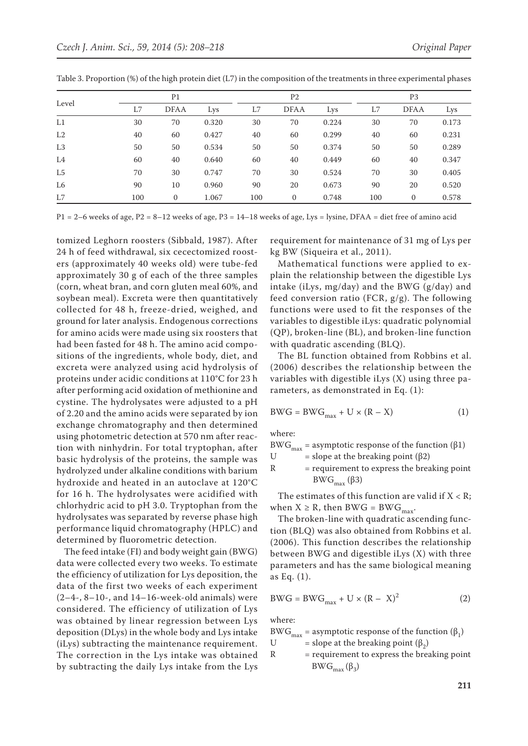| Level          | P <sub>1</sub> |             |       |     | P <sub>2</sub> |       |     | P <sub>3</sub> |       |  |
|----------------|----------------|-------------|-------|-----|----------------|-------|-----|----------------|-------|--|
|                | L7             | <b>DFAA</b> | Lys   | L7  | <b>DFAA</b>    | Lys   | L7  | <b>DFAA</b>    | Lys   |  |
| L1             | 30             | 70          | 0.320 | 30  | 70             | 0.224 | 30  | 70             | 0.173 |  |
| L2             | 40             | 60          | 0.427 | 40  | 60             | 0.299 | 40  | 60             | 0.231 |  |
| L <sub>3</sub> | 50             | 50          | 0.534 | 50  | 50             | 0.374 | 50  | 50             | 0.289 |  |
| L4             | 60             | 40          | 0.640 | 60  | 40             | 0.449 | 60  | 40             | 0.347 |  |
| L <sub>5</sub> | 70             | 30          | 0.747 | 70  | 30             | 0.524 | 70  | 30             | 0.405 |  |
| L6             | 90             | 10          | 0.960 | 90  | 20             | 0.673 | 90  | 20             | 0.520 |  |
| L7             | 100            | $\Omega$    | 1.067 | 100 | $\Omega$       | 0.748 | 100 | $\mathbf{0}$   | 0.578 |  |

Table 3. Proportion (%) of the high protein diet (L7) in the composition of the treatments in three experimental phases

 $P1 = 2-6$  weeks of age,  $P2 = 8-12$  weeks of age,  $P3 = 14-18$  weeks of age, Lys = lysine, DFAA = diet free of amino acid

tomized Leghorn roosters (Sibbald, 1987). After 24 h of feed withdrawal, six cecectomized roosters (approximately 40 weeks old) were tube-fed approximately 30 g of each of the three samples (corn, wheat bran, and corn gluten meal 60%, and soybean meal). Excreta were then quantitatively collected for 48 h, freeze-dried, weighed, and ground for later analysis. Endogenous corrections for amino acids were made using six roosters that had been fasted for 48 h. The amino acid compositions of the ingredients, whole body, diet, and excreta were analyzed using acid hydrolysis of proteins under acidic conditions at 110°C for 23 h after performing acid oxidation of methionine and cystine. The hydrolysates were adjusted to a pH of 2.20 and the amino acids were separated by ion exchange chromatography and then determined using photometric detection at 570 nm after reaction with ninhydrin. For total tryptophan, after basic hydrolysis of the proteins, the sample was hydrolyzed under alkaline conditions with barium hydroxide and heated in an autoclave at 120°C for 16 h. The hydrolysates were acidified with chlorhydric acid to pH 3.0. Tryptophan from the hydrolysates was separated by reverse phase high performance liquid chromatography (HPLC) and determined by fluorometric detection.

The feed intake (FI) and body weight gain (BWG) data were collected every two weeks. To estimate the efficiency of utilization for Lys deposition, the data of the first two weeks of each experiment  $(2-4-, 8-10-,$  and  $14-16$ -week-old animals) were considered. The efficiency of utilization of Lys was obtained by linear regression between Lys deposition (DLys) in the whole body and Lys intake (iLys) subtracting the maintenance requirement. The correction in the Lys intake was obtained by subtracting the daily Lys intake from the Lys

requirement for maintenance of 31 mg of Lys per kg BW (Siqueira et al., 2011).

Mathematical functions were applied to explain the relationship between the digestible Lys intake (iLys, mg/day) and the BWG (g/day) and feed conversion ratio (FCR,  $g/g$ ). The following functions were used to fit the responses of the variables to digestible iLys: quadratic polynomial (QP), broken-line (BL), and broken-line function with quadratic ascending (BLQ).

The BL function obtained from Robbins et al. (2006) describes the relationship between the variables with digestible iLys (X) using three parameters, as demonstrated in Eq. (1):

$$
\text{BWG} = \text{BWG}_{\text{max}} + \text{U} \times (\text{R} - \text{X}) \tag{1}
$$

where:

BWG<sub>max</sub> = asymptotic response of the function (β1)<br>U = slope at the breaking point (β2)

= slope at the breaking point  $(\beta 2)$ 

R = requirement to express the breaking point BW $G<sub>max</sub>$  (β3)

The estimates of this function are valid if  $X < R$ ; when  $X \ge R$ , then BWG = BWG<sub>max</sub>.

The broken-line with quadratic ascending function (BLQ) was also obtained from Robbins et al. (2006). This function describes the relationship between BWG and digestible iLys (X) with three parameters and has the same biological meaning as Eq. (1).

$$
BWG = BWG_{\text{max}} + U \times (R - X)^2 \tag{2}
$$

where:

BWG<sub>max</sub> = asymptotic response of the function ( $\beta_1$ )<br>U = slope at the breaking point ( $\beta_2$ )

- U = slope at the breaking point  $(β<sub>2</sub>)$ <br>R = requirement to express the brea
- = requirement to express the breaking point  $BWG_{max}(\beta_3)$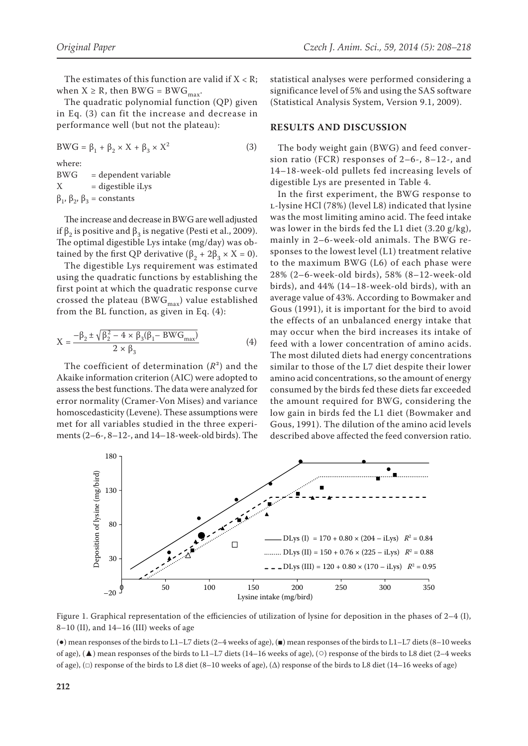The estimates of this function are valid if  $X < R$ ; when  $X \ge R$ , then BWG = BWG<sub>max</sub>.

The quadratic polynomial function (QP) given in Eq. (3) can fit the increase and decrease in performance well (but not the plateau):

BWG =  $\beta_1 + \beta_2 \times X + \beta_3 \times X^2$  (3) where: BWG = dependent variable  $X = \text{digestible iLys}$  $β_1$ ,  $β_2$ ,  $β_3$  = constants

The increase and decrease in BWG are well adjusted if  $\beta_2$  is positive and  $\beta_3$  is negative (Pesti et al., 2009). The optimal digestible Lys intake (mg/day) was obtained by the first QP derivative  $(β<sub>2</sub> + 2β<sub>3</sub> × X = 0)$ .

The digestible Lys requirement was estimated using the quadratic functions by establishing the first point at which the quadratic response curve crossed the plateau (BW $G_{max}$ ) value established from the BL function, as given in Eq. (4):

$$
X = \frac{-\beta_2 \pm \sqrt{\beta_2^2 - 4 \times \beta_3(\beta_1 - BWG_{\text{max}})}}{2 \times \beta_3}
$$
(4)

The coefficient of determination  $(R^2)$  and the Akaike information criterion (AIC) were adopted to assess the best functions. The data were analyzed for error normality (Cramer-Von Mises) and variance homoscedasticity (Levene). These assumptions were met for all variables studied in the three experiments (2–6-, 8–12-, and 14–18-week-old birds). The statistical analyses were performed considering a significance level of 5% and using the SAS software (Statistical Analysis System, Version 9.1, 2009).

#### **RESULTS AND DISCUSSION**

The body weight gain (BWG) and feed conversion ratio (FCR) responses of 2–6-, 8–12-, and 14–18-week-old pullets fed increasing levels of digestible Lys are presented in Table 4.

In the first experiment, the BWG response to l-lysine HCl (78%) (level L8) indicated that lysine was the most limiting amino acid. The feed intake was lower in the birds fed the L1 diet  $(3.20 \text{ g/kg})$ , mainly in 2–6-week-old animals. The BWG responses to the lowest level (L1) treatment relative to the maximum BWG (L6) of each phase were 28% (2–6-week-old birds), 58% (8–12-week-old birds), and 44% (14–18-week-old birds), with an average value of 43%. According to Bowmaker and Gous (1991), it is important for the bird to avoid the effects of an unbalanced energy intake that may occur when the bird increases its intake of feed with a lower concentration of amino acids. The most diluted diets had energy concentrations similar to those of the L7 diet despite their lower amino acid concentrations, so the amount of energy consumed by the birds fed these diets far exceeded the amount required for BWG, considering the low gain in birds fed the L1 diet (Bowmaker and Gous, 1991). The dilution of the amino acid levels described above affected the feed conversion ratio.



Figure 1. Graphical representation of the efficiencies of utilization of lysine for deposition in the phases of 2–4 (I), 8–10 (II), and 14–16 (III) weeks of age

(●) mean responses of the birds to L1–L7 diets (2–4 weeks of age), (■) mean responses of the birds to L1–L7 diets (8–10 weeks of age), (▲) mean responses of the birds to L1–L7 diets (14–16 weeks of age), (○) response of the birds to L8 diet (2–4 weeks of age),  $(\Box)$  response of the birds to L8 diet (8–10 weeks of age),  $(\Delta)$  response of the birds to L8 diet (14–16 weeks of age)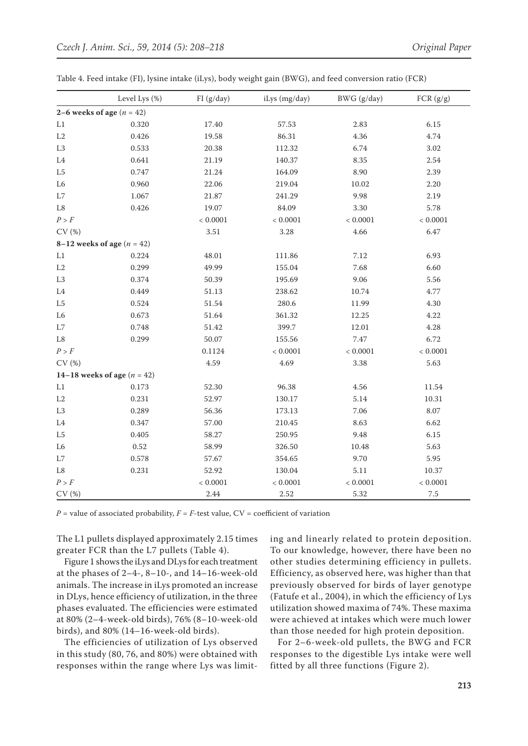|                             | Level Lys (%)                   | FI(g/day)  | iLys (mg/day) | BWG (g/day) | FCR(g/g)   |  |  |  |
|-----------------------------|---------------------------------|------------|---------------|-------------|------------|--|--|--|
| 2–6 weeks of age $(n = 42)$ |                                 |            |               |             |            |  |  |  |
| $\rm L1$                    | 0.320                           | 17.40      | 57.53         | 2.83        | 6.15       |  |  |  |
| $\rm L2$                    | 0.426                           | 19.58      | 86.31         | 4.36        | 4.74       |  |  |  |
| L <sub>3</sub>              | 0.533                           | 20.38      | 112.32        | 6.74        | 3.02       |  |  |  |
| L4                          | 0.641                           | 21.19      | 140.37        | 8.35        | $2.54\,$   |  |  |  |
| L5                          | 0.747                           | 21.24      | 164.09        | 8.90        | 2.39       |  |  |  |
| L <sub>6</sub>              | 0.960                           | 22.06      | 219.04        | 10.02       | 2.20       |  |  |  |
| $\rm L7$                    | 1.067                           | 21.87      | 241.29        | 9.98        | 2.19       |  |  |  |
| $\mbox{L}8$                 | 0.426                           | 19.07      | 84.09         | 3.30        | 5.78       |  |  |  |
| P > F                       |                                 | $< 0.0001$ | $< 0.0001$    | $< 0.0001$  | < 0.0001   |  |  |  |
| CV(%)                       |                                 | $3.51\,$   | 3.28          | 4.66        | 6.47       |  |  |  |
|                             | 8–12 weeks of age ( $n = 42$ )  |            |               |             |            |  |  |  |
| L1                          | 0.224                           | 48.01      | 111.86        | 7.12        | 6.93       |  |  |  |
| $\rm L2$                    | 0.299                           | 49.99      | 155.04        | 7.68        | 6.60       |  |  |  |
| $\rm L3$                    | 0.374                           | 50.39      | 195.69        | 9.06        | 5.56       |  |  |  |
| $\operatorname{L4}$         | 0.449                           | 51.13      | 238.62        | 10.74       | 4.77       |  |  |  |
| L <sub>5</sub>              | 0.524                           | 51.54      | 280.6         | 11.99       | 4.30       |  |  |  |
| L <sub>6</sub>              | 0.673                           | 51.64      | 361.32        | 12.25       | 4.22       |  |  |  |
| $\rm L7$                    | 0.748                           | 51.42      | 399.7         | 12.01       | 4.28       |  |  |  |
| $\rm L8$                    | 0.299                           | 50.07      | 155.56        | 7.47        | 6.72       |  |  |  |
| ${\cal P} > {\cal F}$       |                                 | 0.1124     | < 0.0001      | $< 0.0001$  | $< 0.0001$ |  |  |  |
| CV(%)                       |                                 | 4.59       | 4.69          | 3.38        | 5.63       |  |  |  |
|                             | 14–18 weeks of age ( $n = 42$ ) |            |               |             |            |  |  |  |
| L1                          | 0.173                           | 52.30      | 96.38         | 4.56        | $11.54\,$  |  |  |  |
| $\operatorname{L2}$         | 0.231                           | 52.97      | 130.17        | 5.14        | 10.31      |  |  |  |
| $\rm L3$                    | 0.289                           | 56.36      | 173.13        | 7.06        | 8.07       |  |  |  |
| L <sub>4</sub>              | 0.347                           | 57.00      | 210.45        | 8.63        | 6.62       |  |  |  |
| ${\rm L}5$                  | 0.405                           | 58.27      | 250.95        | 9.48        | 6.15       |  |  |  |
| L <sub>6</sub>              | $0.52\,$                        | 58.99      | 326.50        | 10.48       | 5.63       |  |  |  |
| L7                          | 0.578                           | 57.67      | 354.65        | 9.70        | 5.95       |  |  |  |
| $\mbox{L}8$                 | 0.231                           | 52.92      | 130.04        | $5.11\,$    | 10.37      |  |  |  |
| P > F                       |                                 | < 0.0001   | $< 0.0001$    | < 0.0001    | < 0.0001   |  |  |  |
| CV(%)                       |                                 | 2.44       | 2.52          | 5.32        | $7.5\,$    |  |  |  |

Table 4. Feed intake (FI), lysine intake (iLys), body weight gain (BWG), and feed conversion ratio (FCR)

 $P$  = value of associated probability,  $F = F$ -test value,  $CV =$  coefficient of variation

The L1 pullets displayed approximately 2.15 times greater FCR than the L7 pullets (Table 4).

Figure 1 shows the iLys and DLys for each treatment at the phases of 2–4-, 8–10-, and 14–16-week-old animals. The increase in iLys promoted an increase in DLys, hence efficiency of utilization, in the three phases evaluated. The efficiencies were estimated at 80% (2–4-week-old birds), 76% (8–10-week-old birds), and 80% (14–16-week-old birds).

The efficiencies of utilization of Lys observed in this study (80, 76, and 80%) were obtained with responses within the range where Lys was limiting and linearly related to protein deposition. To our knowledge, however, there have been no other studies determining efficiency in pullets. Efficiency, as observed here, was higher than that previously observed for birds of layer genotype (Fatufe et al., 2004), in which the efficiency of Lys utilization showed maxima of 74%. These maxima were achieved at intakes which were much lower than those needed for high protein deposition.

For 2–6-week-old pullets, the BWG and FCR responses to the digestible Lys intake were well fitted by all three functions (Figure 2).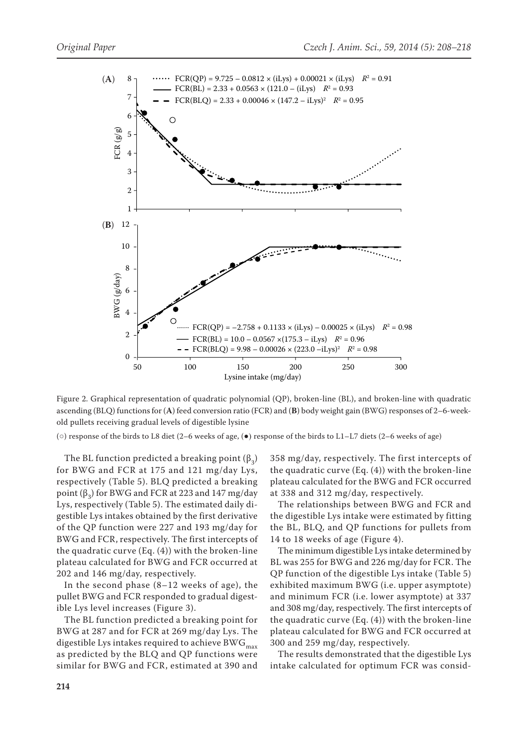

Figure 2. Graphical representation of quadratic polynomial (QP), broken-line (BL), and broken-line with quadratic ascending (BLQ) functions for (**A**) feed conversion ratio (FCR) and (**B**) body weight gain (BWG) responses of 2–6-weekold pullets receiving gradual levels of digestible lysine

(○) response of the birds to L8 diet (2–6 weeks of age, (●) response of the birds to L1–L7 diets (2–6 weeks of age)

The BL function predicted a breaking point  $(\beta_3)$ for BWG and FCR at 175 and 121 mg/day Lys, respectively (Table 5). BLQ predicted a breaking point  $(β<sub>2</sub>)$  for BWG and FCR at 223 and 147 mg/day Lys, respectively (Table 5). The estimated daily digestible Lys intakes obtained by the first derivative of the QP function were 227 and 193 mg/day for BWG and FCR, respectively. The first intercepts of the quadratic curve (Eq. (4)) with the broken-line plateau calculated for BWG and FCR occurred at 202 and 146 mg/day, respectively.

In the second phase (8–12 weeks of age), the pullet BWG and FCR responded to gradual digestible Lys level increases (Figure 3).

The BL function predicted a breaking point for BWG at 287 and for FCR at 269 mg/day Lys. The digestible Lys intakes required to achieve BWG $_{\rm max}$ as predicted by the BLQ and QP functions were similar for BWG and FCR, estimated at 390 and 358 mg/day, respectively. The first intercepts of the quadratic curve (Eq. (4)) with the broken-line plateau calculated for the BWG and FCR occurred at 338 and 312 mg/day, respectively.

The relationships between BWG and FCR and the digestible Lys intake were estimated by fitting the BL, BLQ, and QP functions for pullets from 14 to 18 weeks of age (Figure 4).

The minimum digestible Lys intake determined by BL was 255 for BWG and 226 mg/day for FCR. The QP function of the digestible Lys intake (Table 5) exhibited maximum BWG (i.e. upper asymptote) and minimum FCR (i.e. lower asymptote) at 337 and 308 mg/day, respectively. The first intercepts of the quadratic curve (Eq. (4)) with the broken-line plateau calculated for BWG and FCR occurred at 300 and 259 mg/day, respectively.

The results demonstrated that the digestible Lys intake calculated for optimum FCR was consid-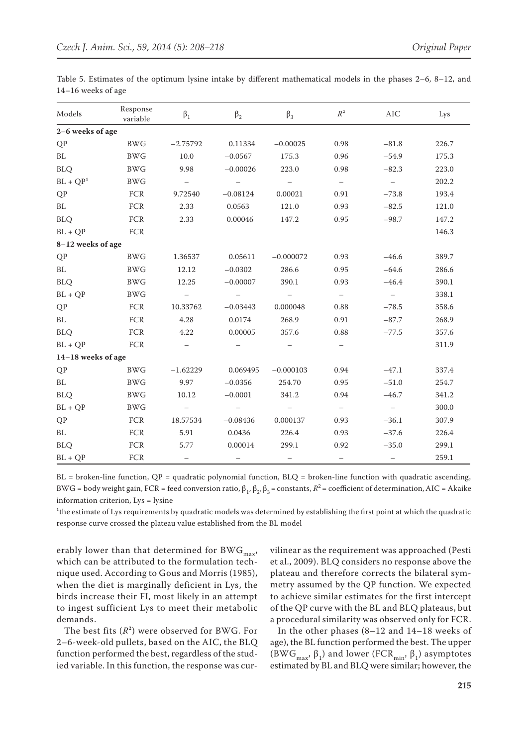| Models             | Response<br>variable | $\beta_1$                | $\beta_2$                | $\beta_3$                | $\mathbb{R}^2$           | AIC                      | Lys   |  |  |  |
|--------------------|----------------------|--------------------------|--------------------------|--------------------------|--------------------------|--------------------------|-------|--|--|--|
| 2-6 weeks of age   |                      |                          |                          |                          |                          |                          |       |  |  |  |
| QP                 | <b>BWG</b>           | $-2.75792$               | 0.11334                  | $-0.00025$               | 0.98                     | $-81.8$                  | 226.7 |  |  |  |
| BL                 | <b>BWG</b>           | 10.0                     | $-0.0567$                | 175.3                    | 0.96                     | $-54.9$                  | 175.3 |  |  |  |
| <b>BLQ</b>         | <b>BWG</b>           | 9.98                     | $-0.00026$               | 223.0                    | 0.98                     | $-82.3$                  | 223.0 |  |  |  |
| $BL + QP1$         | <b>BWG</b>           | $\overline{\phantom{m}}$ |                          |                          | $\overline{\phantom{0}}$ | $\overline{\phantom{m}}$ | 202.2 |  |  |  |
| QP                 | FCR                  | 9.72540                  | $-0.08124$               | 0.00021                  | 0.91                     | $-73.8$                  | 193.4 |  |  |  |
| BL                 | FCR                  | 2.33                     | 0.0563                   | 121.0                    | 0.93                     | $-82.5$                  | 121.0 |  |  |  |
| <b>BLQ</b>         | FCR                  | 2.33                     | 0.00046                  | 147.2                    | 0.95                     | $-98.7$                  | 147.2 |  |  |  |
| $BL + QP$          | FCR                  |                          |                          |                          |                          |                          | 146.3 |  |  |  |
| 8-12 weeks of age  |                      |                          |                          |                          |                          |                          |       |  |  |  |
| QP                 | <b>BWG</b>           | 1.36537                  | 0.05611                  | $-0.000072$              | 0.93                     | $-46.6$                  | 389.7 |  |  |  |
| BL                 | <b>BWG</b>           | 12.12                    | $-0.0302$                | 286.6                    | 0.95                     | $-64.6$                  | 286.6 |  |  |  |
| <b>BLQ</b>         | <b>BWG</b>           | 12.25                    | $-0.00007$               | 390.1                    | 0.93                     | $-46.4$                  | 390.1 |  |  |  |
| $BL + QP$          | <b>BWG</b>           | $\equiv$                 |                          | $\overline{\phantom{m}}$ | $\equiv$                 | $\overline{\phantom{0}}$ | 338.1 |  |  |  |
| <b>QP</b>          | FCR                  | 10.33762                 | $-0.03443$               | 0.000048                 | 0.88                     | $-78.5$                  | 358.6 |  |  |  |
| BL                 | FCR                  | 4.28                     | 0.0174                   | 268.9                    | 0.91                     | $-87.7$                  | 268.9 |  |  |  |
| <b>BLQ</b>         | FCR                  | 4.22                     | 0.00005                  | 357.6                    | 0.88                     | $-77.5$                  | 357.6 |  |  |  |
| $BL + QP$          | FCR                  | $\overline{\phantom{0}}$ |                          |                          | $\overline{\phantom{m}}$ |                          | 311.9 |  |  |  |
| 14-18 weeks of age |                      |                          |                          |                          |                          |                          |       |  |  |  |
| QP                 | $\rm{BW}G$           | $-1.62229$               | 0.069495                 | $-0.000103$              | 0.94                     | $-47.1$                  | 337.4 |  |  |  |
| BL                 | <b>BWG</b>           | 9.97                     | $-0.0356$                | 254.70                   | 0.95                     | $-51.0$                  | 254.7 |  |  |  |
| <b>BLQ</b>         | <b>BWG</b>           | 10.12                    | $-0.0001$                | 341.2                    | 0.94                     | $-46.7$                  | 341.2 |  |  |  |
| $BL + QP$          | <b>BWG</b>           | $\overline{\phantom{m}}$ | $\overline{\phantom{0}}$ |                          | $-$                      | $\overline{\phantom{m}}$ | 300.0 |  |  |  |
| QP                 | ${FCR}$              | 18.57534                 | $-0.08436$               | 0.000137                 | 0.93                     | $-36.1$                  | 307.9 |  |  |  |
| BL                 | FCR                  | 5.91                     | 0.0436                   | 226.4                    | 0.93                     | $-37.6$                  | 226.4 |  |  |  |
| <b>BLQ</b>         | FCR                  | 5.77                     | 0.00014                  | 299.1                    | 0.92                     | $-35.0$                  | 299.1 |  |  |  |
| $BL + QP$          | FCR                  | $\qquad \qquad -$        |                          |                          | $\overline{\phantom{0}}$ | $\qquad \qquad -$        | 259.1 |  |  |  |

Table 5. Estimates of the optimum lysine intake by different mathematical models in the phases 2–6, 8–12, and 14–16 weeks of age

 $BL =$  broken-line function,  $QP =$  quadratic polynomial function,  $BLQ =$  broken-line function with quadratic ascending, BWG = body weight gain, FCR = feed conversion ratio,  $\beta_1$ ,  $\beta_2$ ,  $\beta_3$  = constants,  $R^2$  = coefficient of determination, AIC = Akaike information criterion, Lys = lysine

<sup>1</sup>the estimate of Lys requirements by quadratic models was determined by establishing the first point at which the quadratic response curve crossed the plateau value established from the BL model

erably lower than that determined for BWG $_{\rm max}$ , which can be attributed to the formulation technique used. According to Gous and Morris (1985), when the diet is marginally deficient in Lys, the birds increase their FI, most likely in an attempt to ingest sufficient Lys to meet their metabolic demands.

The best fits  $(R^2)$  were observed for BWG. For 2–6-week-old pullets, based on the AIC, the BLQ function performed the best, regardless of the studied variable. In this function, the response was curvilinear as the requirement was approached (Pesti et al., 2009). BLQ considers no response above the plateau and therefore corrects the bilateral symmetry assumed by the QP function. We expected to achieve similar estimates for the first intercept of the QP curve with the BL and BLQ plateaus, but a procedural similarity was observed only for FCR.

In the other phases (8–12 and 14–18 weeks of age), the BL function performed the best. The upper (BWG<sub>max</sub>,  $\beta_1$ ) and lower (FCR<sub>min</sub>,  $\beta_1$ ) asymptotes estimated by BL and BLQ were similar; however, the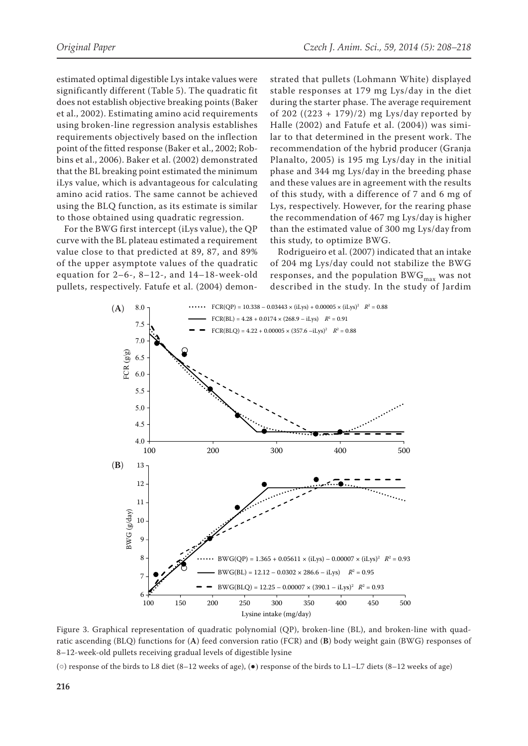estimated optimal digestible Lys intake values were significantly different (Table 5). The quadratic fit does not establish objective breaking points (Baker et al., 2002). Estimating amino acid requirements using broken-line regression analysis establishes requirements objectively based on the inflection point of the fitted response (Baker et al., 2002; Robbins et al., 2006). Baker et al. (2002) demonstrated that the BL breaking point estimated the minimum iLys value, which is advantageous for calculating amino acid ratios. The same cannot be achieved using the BLQ function, as its estimate is similar to those obtained using quadratic regression.

For the BWG first intercept (iLys value), the QP curve with the BL plateau estimated a requirement value close to that predicted at 89, 87, and 89% of the upper asymptote values of the quadratic equation for 2–6-, 8–12-, and 14–18-week-old pullets, respectively. Fatufe et al. (2004) demonstrated that pullets (Lohmann White) displayed stable responses at 179 mg Lys/day in the diet during the starter phase. The average requirement of 202  $((223 + 179)/2)$  mg Lys/day reported by Halle (2002) and Fatufe et al. (2004)) was similar to that determined in the present work. The recommendation of the hybrid producer (Granja Planalto, 2005) is 195 mg Lys/day in the initial phase and 344 mg Lys/day in the breeding phase and these values are in agreement with the results of this study, with a difference of 7 and 6 mg of Lys, respectively. However, for the rearing phase the recommendation of 467 mg Lys/day is higher than the estimated value of 300 mg Lys/day from this study, to optimize BWG.

Rodrigueiro et al. (2007) indicated that an intake of 204 mg Lys/day could not stabilize the BWG responses, and the population BW $G_{max}$  was not described in the study. In the study of Jardim



Figure 3. Graphical representation of quadratic polynomial (QP), broken-line (BL), and broken-line with quadratic ascending (BLQ) functions for (**A**) feed conversion ratio (FCR) and (**B**) body weight gain (BWG) responses of 8–12-week-old pullets receiving gradual levels of digestible lysine

(○) response of the birds to L8 diet (8–12 weeks of age), (●) response of the birds to L1–L7 diets (8–12 weeks of age)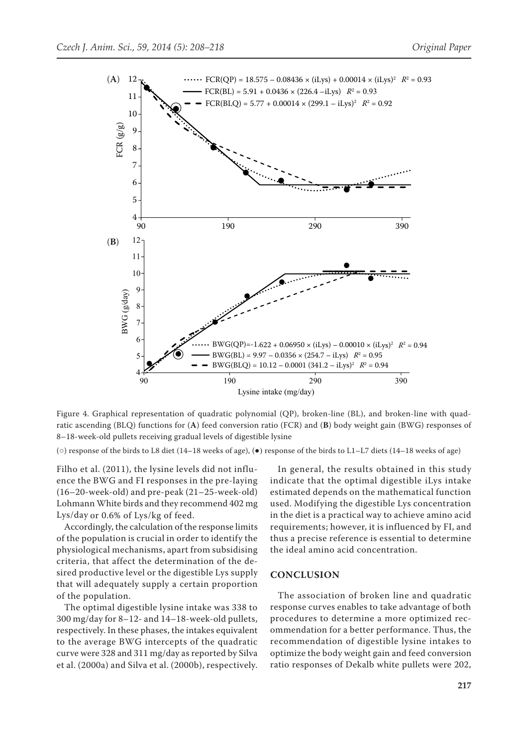

Figure 4. Graphical representation of quadratic polynomial (QP), broken-line (BL), and broken-line with quadratic ascending (BLQ) functions for (**A**) feed conversion ratio (FCR) and (**B**) body weight gain (BWG) responses of 8–18-week-old pullets receiving gradual levels of digestible lysine

(○) response of the birds to L8 diet (14–18 weeks of age), (●) response of the birds to L1–L7 diets (14–18 weeks of age)

Filho et al. (2011), the lysine levels did not influence the BWG and FI responses in the pre-laying (16–20-week-old) and pre-peak (21–25-week-old) Lohmann White birds and they recommend 402 mg Lys/day or 0.6% of Lys/kg of feed.

Accordingly, the calculation of the response limits of the population is crucial in order to identify the physiological mechanisms, apart from subsidising criteria, that affect the determination of the desired productive level or the digestible Lys supply that will adequately supply a certain proportion of the population.

The optimal digestible lysine intake was 338 to 300 mg/day for 8–12- and 14–18-week-old pullets, respectively. In these phases, the intakes equivalent to the average BWG intercepts of the quadratic curve were 328 and 311 mg/day as reported by Silva et al. (2000a) and Silva et al. (2000b), respectively.

In general, the results obtained in this study indicate that the optimal digestible iLys intake estimated depends on the mathematical function used. Modifying the digestible Lys concentration in the diet is a practical way to achieve amino acid requirements; however, it is influenced by FI, and thus a precise reference is essential to determine the ideal amino acid concentration.

#### **CONCLUSION**

The association of broken line and quadratic response curves enables to take advantage of both procedures to determine a more optimized recommendation for a better performance. Thus, the recommendation of digestible lysine intakes to optimize the body weight gain and feed conversion ratio responses of Dekalb white pullets were 202,